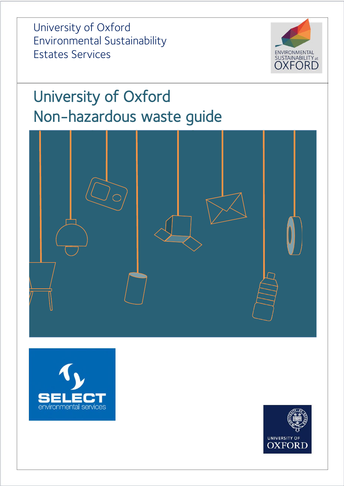University of Oxford Environmental Sustainability Estates Services



# University of Oxford Non-hazardous waste guide





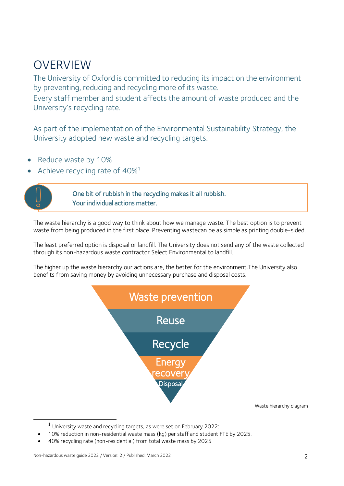## OVERVIEW

The University of Oxford is committed to reducing its impact on the environment by preventing, reducing and recycling more of its waste.

Every staff member and student affects the amount of waste produced and the University's recycling rate.

As part of the implementation of the Environmental Sustainability Strategy, the University adopted new waste and recycling targets.

- Reduce waste by 10%
- Achieve recycling rate of 40%<sup>1</sup>



1

One bit of rubbish in the recycling makes it all rubbish. Your individual actions matter.

The waste hierarchy is a good way to think about how we manage waste. The best option is to prevent waste from being produced in the first place. Preventing wastecan be as simple as printing double-sided.

The least preferred option is disposal or landfill. The University does not send any of the waste collected through its non-hazardous waste contractor Select Environmental to landfill.

The higher up the waste hierarchy our actions are, the better for the environment.The University also benefits from saving money by avoiding unnecessary purchase and disposal costs.



Waste hierarchy diagram

 $<sup>1</sup>$  University waste and recycling targets, as were set on February 2022:</sup>

10% reduction in non-residential waste mass (kg) per staff and student FTE by 2025.

40% recycling rate (non-residential) from total waste mass by 2025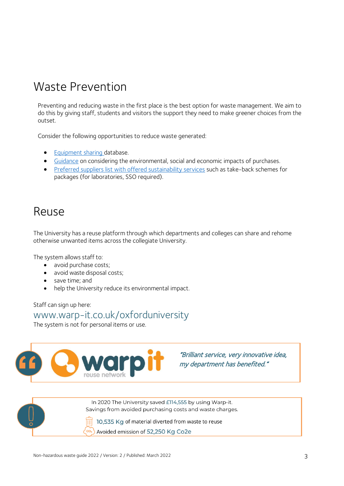## Waste Prevention

Preventing and reducing waste in the first place is the best option for waste management. We aim to do this by giving staff, students and visitors the support they need to make greener choices from the outset.

Consider the following opportunities to reduce waste generated:

- [Equipment sharing](https://www.research-facilities.ox.ac.uk/) database.
- [Guidance](https://finance.admin.ox.ac.uk/sustainability-impacts) on considering the environmental, social and economic impacts of purchases.
- [Preferred suppliers list with offered sustainability services](https://sustainability.admin.ox.ac.uk/sustainability-services-preferred-suppliers) such as take-back schemes for packages (for laboratories, SSO required).

## Reuse

The University has a reuse platform through which departments and colleges can share and rehome otherwise unwanted items across the collegiate University.

The system allows staff to:

- avoid purchase costs;
- avoid waste disposal costs;
- save time; and
- help the University reduce its environmental impact.

Staff can sign up here:

### [www.warp-it.co.uk/oxforduniversity](http://www.warp-it.co.uk/oxforduniversity)

The system is not for personal items or use.



"Brilliant service, very innovative idea, my department has benefited."



In 2020 The University saved £114,555 by using Warp-it. Savings from avoided purchasing costs and waste charges.

10,535 Kg of material diverted from waste to reuse

Avoided emission of 52,250 Kg Co2e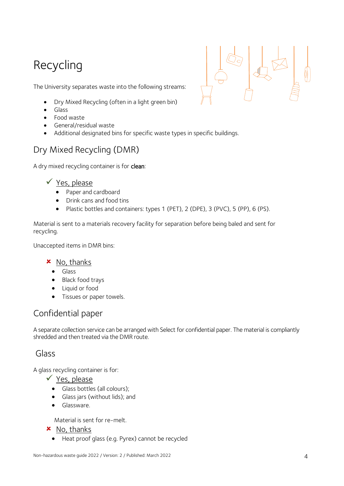## Recycling



The University separates waste into the following streams:

- Dry Mixed Recycling (often in a light green bin)
- Glass
- Food waste
- General/residual waste
- Additional designated bins for specific waste types in specific buildings.

### Dry Mixed Recycling (DMR)

A dry mixed recycling container is for clean:

#### $\checkmark$  Yes, please

- Paper and cardboard
- Drink cans and food tins
- Plastic bottles and containers: types 1 (PET), 2 (DPE), 3 (PVC), 5 (PP), 6 (PS).

Material is sent to a materials recovery facility for separation before being baled and sent for recycling.

Unaccepted items in DMR bins:

#### $x$  No, thanks

- Glass
- Black food trays
- Liquid or food
- **•** Tissues or paper towels.

### Confidential paper

A separate collection service can be arranged with Select for confidential paper. The material is compliantly shredded and then treated via the DMR route.

### Glass

A glass recycling container is for:

- $\checkmark$  Yes, please
	- Glass bottles (all colours);
	- Glass jars (without lids); and
	- **•** Glassware.

Material is sent for re-melt.

- $x$  No, thanks
	- Heat proof glass (e.g. Pyrex) cannot be recycled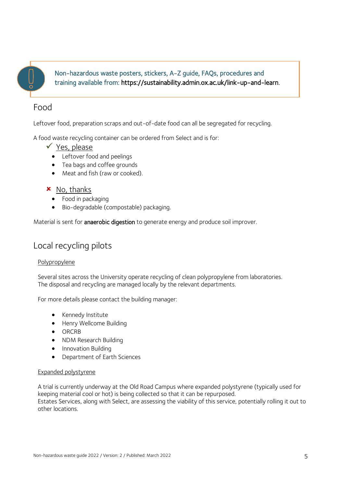

Non-hazardous waste posters, stickers, A-Z guide, FAQs, procedures and training available from: [https://sustainability.admin.ox.ac.uk/link-up-and-learn.](https://sustainability.admin.ox.ac.uk/link-up-and-learn)

### Food

Leftover food, preparation scraps and out-of-date food can all be segregated for recycling.

A food waste recycling container can be ordered from Select and is for:

- $\checkmark$  Yes, please
	- Leftover food and peelings
	- Tea bags and coffee grounds
	- Meat and fish (raw or cooked).
- $x$  No, thanks
	- Food in packaging
	- Bio-degradable (compostable) packaging.

Material is sent for **anaerobic digestion** to generate energy and produce soil improver.

### Local recycling pilots

#### **Polypropylene**

Several sites across the University operate recycling of clean polypropylene from laboratories. The disposal and recycling are managed locally by the relevant departments.

For more details please contact the building manager:

- Kennedy Institute
- Henry Wellcome Building
- ORCRB
- NDM Research Building
- **•** Innovation Building
- Department of Earth Sciences

#### Expanded polystyrene

A trial is currently underway at the Old Road Campus where expanded polystyrene (typically used for keeping material cool or hot) is being collected so that it can be repurposed. Estates Services, along with Select, are assessing the viability of this service, potentially rolling it out to other locations.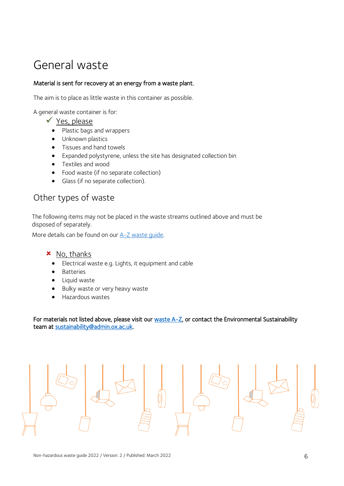## General waste

#### Material is sent for recovery at an energy from a waste plant.

The aim is to place as little waste in this container as possible.

A general waste container is for:

- $\checkmark$  Yes, please
	- Plastic bags and wrappers
	- Unknown plastics
	- Tissues and hand towels
	- Expanded polystyrene, unless the site has designated collection bin
	- Textiles and wood
	- Food waste (if no separate collection)
	- Glass (if no separate collection).

### Other types of waste

The following items may not be placed in the waste streams outlined above and must be disposed of separately.

More details can be found on our A-Z waste quide.

#### $x$  No, thanks

- Electrical waste e.g. Lights, it equipment and cable
- Batteries
- **•** Liquid waste
- Bulky waste or very heavy waste
- **•** Hazardous wastes

For materials not listed above, please visit our [waste A-Z,](https://sustainability.admin.ox.ac.uk/a-z-of-recycling) or contact the Environmental Sustainability team at [sustainability@admin.ox.ac.uk.](mailto:sustainability@admin.ox.ac.uk)

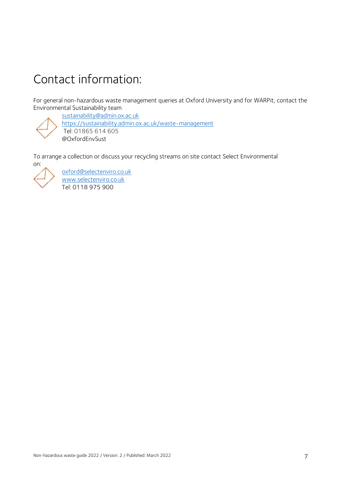## Contact information:

For general non-hazardous waste management queries at Oxford University and for WARPit, contact the Environmental Sustainability team

[sustainability@admin.ox.ac.uk](mailto:sustainability@admin.ox.ac.uk)

<https://sustainability.admin.ox.ac.uk/waste-management>

Tel: 01865 614 605 @OxfordEnvSust

To arrange a collection or discuss your recycling streams on site contact Select Environmental on:



[oxford@selectenviro.co.uk](mailto:oxford@selectenviro.co.uk) [www.selectenviro.co.uk](http://www.selectenviro.co.uk/) Tel: 0118 975 900